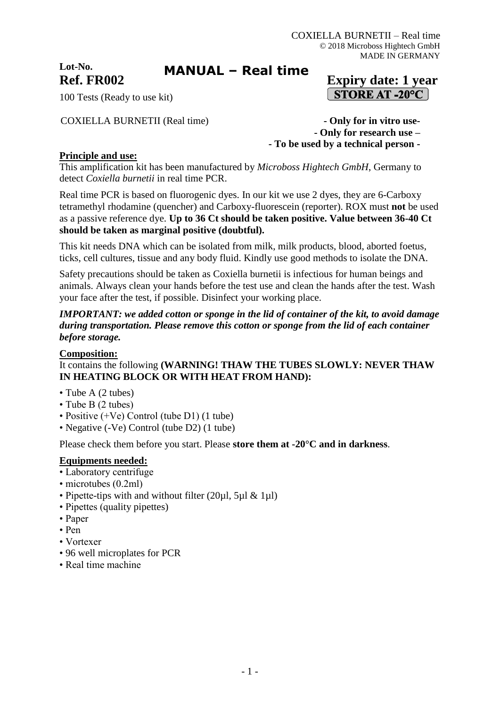**Lot-No.**

# **MANUAL – Real time**

## **Ref. FR002 Expiry date: 1 year**  $\boxed{\text{STORE AT } -20^{\circ}C}$

100 Tests (Ready to use kit)

COXIELLA BURNETII (Real time) **- Only for in vitro use-**

**- Only for research use – - To be used by a technical person -**

## **Principle and use:**

This amplification kit has been manufactured by *Microboss Hightech GmbH*, Germany to detect *Coxiella burnetii* in real time PCR.

Real time PCR is based on fluorogenic dyes. In our kit we use 2 dyes, they are 6-Carboxy tetramethyl rhodamine (quencher) and Carboxy-fluorescein (reporter). ROX must **not** be used as a passive reference dye. **Up to 36 Ct should be taken positive. Value between 36-40 Ct should be taken as marginal positive (doubtful).**

This kit needs DNA which can be isolated from milk, milk products, blood, aborted foetus, ticks, cell cultures, tissue and any body fluid. Kindly use good methods to isolate the DNA.

Safety precautions should be taken as Coxiella burnetii is infectious for human beings and animals. Always clean your hands before the test use and clean the hands after the test. Wash your face after the test, if possible. Disinfect your working place.

*IMPORTANT: we added cotton or sponge in the lid of container of the kit, to avoid damage during transportation. Please remove this cotton or sponge from the lid of each container before storage.*

#### **Composition:**

## It contains the following **(WARNING! THAW THE TUBES SLOWLY: NEVER THAW IN HEATING BLOCK OR WITH HEAT FROM HAND):**

- Tube A (2 tubes)
- Tube B (2 tubes)
- Positive (+Ve) Control (tube D1) (1 tube)
- Negative (-Ve) Control (tube D2) (1 tube)

Please check them before you start. Please **store them at -20°C and in darkness**.

#### **Equipments needed:**

- Laboratory centrifuge
- microtubes (0.2ml)
- Pipette-tips with and without filter (20µl, 5µl & 1µl)
- Pipettes (quality pipettes)
- Paper
- Pen
- Vortexer
- 96 well microplates for PCR
- Real time machine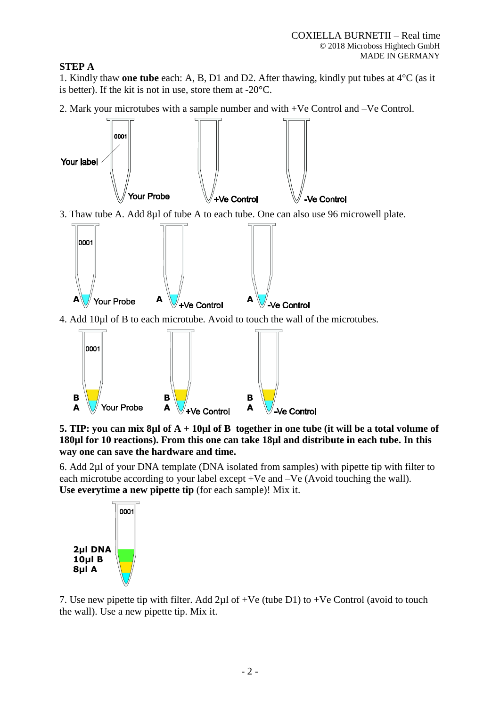## **STEP A**

1. Kindly thaw **one tube** each: A, B, D1 and D2. After thawing, kindly put tubes at 4°C (as it is better). If the kit is not in use, store them at -20°C.

2. Mark your microtubes with a sample number and with +Ve Control and –Ve Control.



3. Thaw tube A. Add 8µl of tube A to each tube. One can also use 96 microwell plate.



4. Add 10µl of B to each microtube. Avoid to touch the wall of the microtubes.



**5. TIP: you can mix 8µl of A + 10µl of B together in one tube (it will be a total volume of 180µl for 10 reactions). From this one can take 18µl and distribute in each tube. In this way one can save the hardware and time.**

6. Add 2µl of your DNA template (DNA isolated from samples) with pipette tip with filter to each microtube according to your label except +Ve and –Ve (Avoid touching the wall). **Use everytime a new pipette tip** (for each sample)! Mix it.



7. Use new pipette tip with filter. Add  $2\mu$ l of +Ve (tube D1) to +Ve Control (avoid to touch the wall). Use a new pipette tip. Mix it.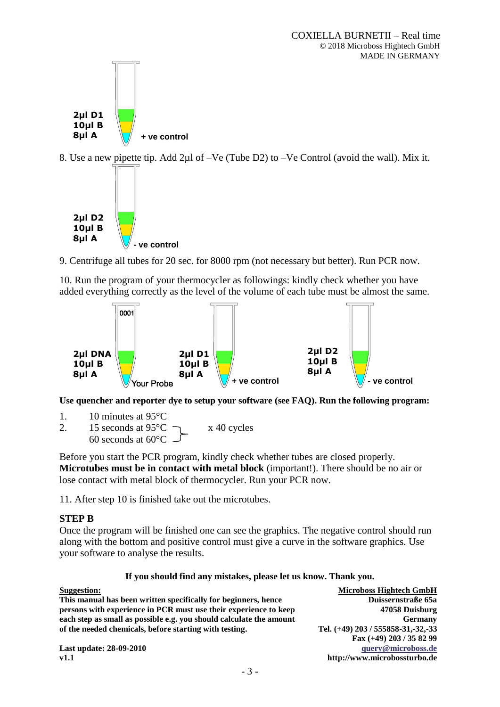

8. Use a new pipette tip. Add 2µl of –Ve (Tube D2) to –Ve Control (avoid the wall). Mix it.



9. Centrifuge all tubes for 20 sec. for 8000 rpm (not necessary but better). Run PCR now.

10. Run the program of your thermocycler as followings: kindly check whether you have added everything correctly as the level of the volume of each tube must be almost the same.



**Use quencher and reporter dye to setup your software (see FAQ). Run the following program:**

1. 10 minutes at 95°C

2. 15 seconds at  $95^{\circ}$ C  $\rightarrow x$  40 cycles 60 seconds at 60°C

Before you start the PCR program, kindly check whether tubes are closed properly. **Microtubes must be in contact with metal block** (important!). There should be no air or lose contact with metal block of thermocycler. Run your PCR now.

11. After step 10 is finished take out the microtubes.

#### **STEP B**

Once the program will be finished one can see the graphics. The negative control should run along with the bottom and positive control must give a curve in the software graphics. Use your software to analyse the results.

#### **If you should find any mistakes, please let us know. Thank you.**

| <b>Suggestion:</b>                                                  | <b>Microboss Hightech GmbH</b>     |
|---------------------------------------------------------------------|------------------------------------|
| This manual has been written specifically for beginners, hence      | Duissernstraße 65a                 |
| persons with experience in PCR must use their experience to keep    | 47058 Duisburg                     |
| each step as small as possible e.g. you should calculate the amount | Germany                            |
| of the needed chemicals, before starting with testing.              | Tel. (+49) 203 / 555858-31,-32,-33 |
|                                                                     | Fax (+49) 203 / 35 82 99           |
| <b>Last update: 28-09-2010</b>                                      | query@microboss.de                 |
| v1.1                                                                | http://www.microbossturbo.de       |